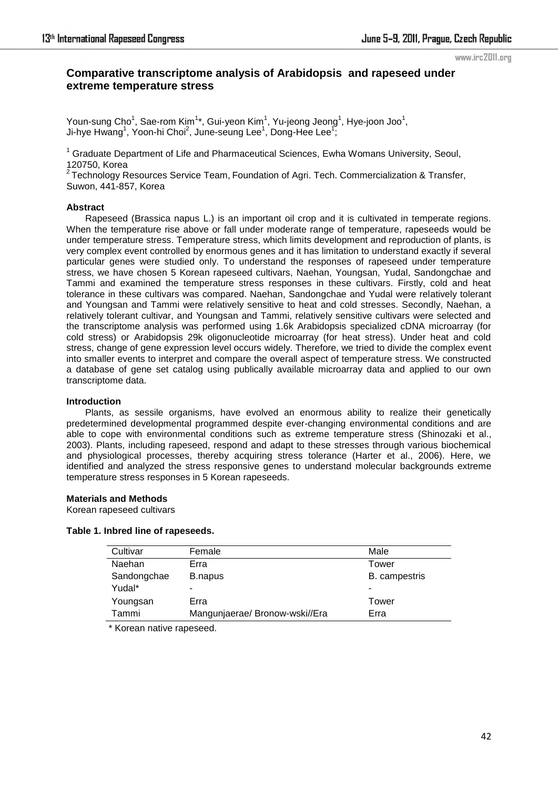#### www.irc2011.org

# **Comparative transcriptome analysis of Arabidopsis and rapeseed under extreme temperature stress**

Youn-sung Cho $^1$ , Sae-rom Kim $^{1\star}$ , Gui-yeon Kim $^1$ , Yu-jeong Jeong $^1$ , Hye-joon Joo $^1$ , Ji-hye Hwang<sup>1</sup>, Yoon-hi Choi<sup>2</sup>, June-seung Lee<sup>1</sup>, Dong-Hee Lee<sup>1</sup>,

<sup>1</sup> Graduate Department of Life and Pharmaceutical Sciences, Ewha Womans University, Seoul, 120750, Korea

 $2$  Technology Resources Service Team, Foundation of Agri. Tech. Commercialization & Transfer, Suwon, 441-857, Korea

#### **Abstract**

Rapeseed (Brassica napus L.) is an important oil crop and it is cultivated in temperate regions. When the temperature rise above or fall under moderate range of temperature, rapeseeds would be under temperature stress. Temperature stress, which limits development and reproduction of plants, is very complex event controlled by enormous genes and it has limitation to understand exactly if several particular genes were studied only. To understand the responses of rapeseed under temperature stress, we have chosen 5 Korean rapeseed cultivars, Naehan, Youngsan, Yudal, Sandongchae and Tammi and examined the temperature stress responses in these cultivars. Firstly, cold and heat tolerance in these cultivars was compared. Naehan, Sandongchae and Yudal were relatively tolerant and Youngsan and Tammi were relatively sensitive to heat and cold stresses. Secondly, Naehan, a relatively tolerant cultivar, and Youngsan and Tammi, relatively sensitive cultivars were selected and the transcriptome analysis was performed using 1.6k Arabidopsis specialized cDNA microarray (for cold stress) or Arabidopsis 29k oligonucleotide microarray (for heat stress). Under heat and cold stress, change of gene expression level occurs widely. Therefore, we tried to divide the complex event into smaller events to interpret and compare the overall aspect of temperature stress. We constructed a database of gene set catalog using publically available microarray data and applied to our own transcriptome data.

## **Introduction**

Plants, as sessile organisms, have evolved an enormous ability to realize their genetically predetermined developmental programmed despite ever-changing environmental conditions and are able to cope with environmental conditions such as extreme temperature stress (Shinozaki et al., 2003). Plants, including rapeseed, respond and adapt to these stresses through various biochemical and physiological processes, thereby acquiring stress tolerance (Harter et al., 2006). Here, we identified and analyzed the stress responsive genes to understand molecular backgrounds extreme temperature stress responses in 5 Korean rapeseeds.

## **Materials and Methods**

Korean rapeseed cultivars

## **Table 1. Inbred line of rapeseeds.**

| Cultivar    | Female                         | Male          |
|-------------|--------------------------------|---------------|
| Naehan      | Erra                           | Tower         |
| Sandongchae | B.napus                        | B. campestris |
| Yudal*      | -                              | -             |
| Youngsan    | Erra                           | Tower         |
| Tammi       | Mangunjaerae/ Bronow-wski//Era | Erra          |

\* Korean native rapeseed.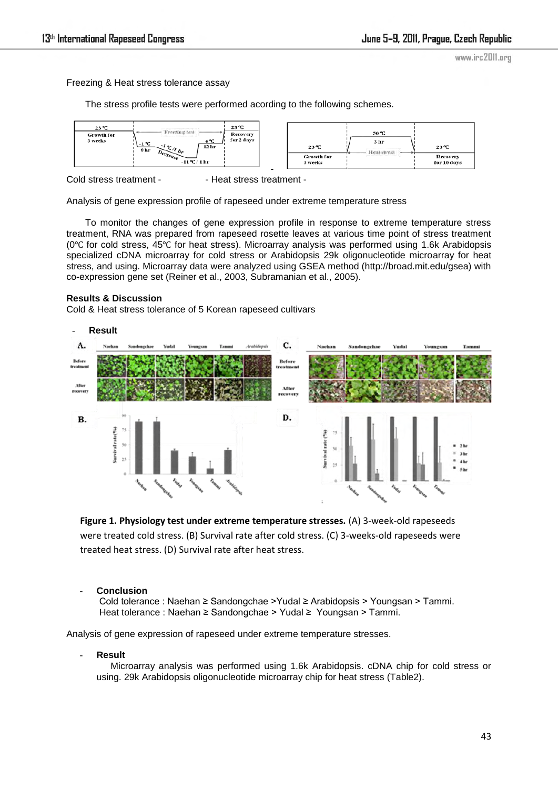www.irc2011.org

Freezing & Heat stress tolerance assay

The stress profile tests were performed acording to the following schemes.



Cold stress treatment - - - - Heat stress treatment -

Analysis of gene expression profile of rapeseed under extreme temperature stress

To monitor the changes of gene expression profile in response to extreme temperature stress treatment, RNA was prepared from rapeseed rosette leaves at various time point of stress treatment (0℃ for cold stress, 45℃ for heat stress). Microarray analysis was performed using 1.6k Arabidopsis specialized cDNA microarray for cold stress or Arabidopsis 29k oligonucleotide microarray for heat stress, and using. Microarray data were analyzed using GSEA method (http://broad.mit.edu/gsea) with co-expression gene set (Reiner et al., 2003, Subramanian et al., 2005).

## **Results & Discussion**

Cold & Heat stress tolerance of 5 Korean rapeseed cultivars



**Figure 1. Physiology test under extreme temperature stresses.** (A) 3-week-old rapeseeds were treated cold stress. (B) Survival rate after cold stress. (C) 3-weeks-old rapeseeds were treated heat stress. (D) Survival rate after heat stress.

## - **Conclusion**

Cold tolerance : Naehan ≥ Sandongchae >Yudal ≥ Arabidopsis > Youngsan > Tammi. Heat tolerance : Naehan ≥ Sandongchae > Yudal ≥ Youngsan > Tammi.

Analysis of gene expression of rapeseed under extreme temperature stresses.

- **Result** 

Microarray analysis was performed using 1.6k Arabidopsis. cDNA chip for cold stress or using. 29k Arabidopsis oligonucleotide microarray chip for heat stress (Table2).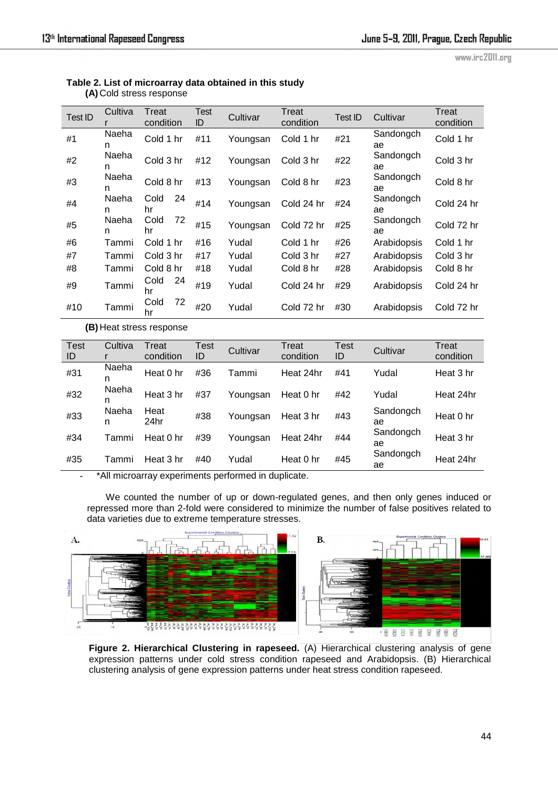www.irc2011.org

| Table 2. List of microarray data obtained in this study |
|---------------------------------------------------------|
| (A) Cold stress response                                |

| Test ID    | Cultiva     | Treat<br>condition | Test<br>ID | Cultivar | Treat<br>condition | <b>Test ID</b> | Cultivar        | Treat<br>condition |
|------------|-------------|--------------------|------------|----------|--------------------|----------------|-----------------|--------------------|
| #1         | Naeha<br>n  | Cold 1 hr          | #11        | Youngsan | Cold 1 hr          | #21            | Sandongch<br>ae | Cold 1 hr          |
| #2         | Naeha<br>n. | Cold 3 hr          | #12        | Youngsan | Cold 3 hr          | #22            | Sandongch<br>ae | Cold 3 hr          |
| #3         | Naeha<br>n  | Cold 8 hr          | #13        | Youngsan | Cold 8 hr          | #23            | Sandongch<br>ae | Cold 8 hr          |
| #4         | Naeha<br>n. | Cold<br>24<br>hr   | #14        | Youngsan | Cold 24 hr         | #24            | Sandongch<br>ae | Cold 24 hr         |
| #5         | Naeha<br>n. | Cold<br>72<br>hr   | #15        | Youngsan | Cold 72 hr         | #25            | Sandongch<br>ae | Cold 72 hr         |
| #6         | Tammi       | Cold 1 hr          | #16        | Yudal    | Cold 1 hr          | #26            | Arabidopsis     | Cold 1 hr          |
| #7         | Tammi       | Cold 3 hr          | #17        | Yudal    | Cold 3 hr          | #27            | Arabidopsis     | Cold 3 hr          |
| #8         | Tammi       | Cold 8 hr          | #18        | Yudal    | Cold 8 hr          | #28            | Arabidopsis     | Cold 8 hr          |
| #9         | Tammi       | Cold<br>24<br>hr   | #19        | Yudal    | Cold 24 hr         | #29            | Arabidopsis     | Cold 24 hr         |
| #10        | Tammi       | 72<br>Cold<br>hr   | #20        | Yudal    | Cold 72 hr         | #30            | Arabidopsis     | Cold 72 hr         |
| $\sqrt{2}$ |             |                    |            |          |                    |                |                 |                    |

**(B)** Heat stress response

| <b>Test</b><br>ID | Cultiva    | Treat<br>condition | Test<br>ID | Cultivar | Treat<br>condition | <b>Test</b><br>ID | Cultivar        | Treat<br>condition |
|-------------------|------------|--------------------|------------|----------|--------------------|-------------------|-----------------|--------------------|
| #31               | Naeha<br>n | Heat 0 hr          | #36        | Tammi    | Heat 24hr          | #41               | Yudal           | Heat 3 hr          |
| #32               | Naeha<br>n | Heat 3 hr          | #37        | Youngsan | Heat 0 hr          | #42               | Yudal           | Heat 24hr          |
| #33               | Naeha<br>n | Heat<br>24hr       | #38        | Youngsan | Heat 3 hr          | #43               | Sandongch<br>ae | Heat 0 hr          |
| #34               | Tammi      | Heat 0 hr          | #39        | Youngsan | Heat 24hr          | #44               | Sandongch<br>ae | Heat 3 hr          |
| #35               | Tammi      | Heat 3 hr          | #40        | Yudal    | Heat 0 hr          | #45               | Sandongch<br>ae | Heat 24hr          |

\*All microarray experiments performed in duplicate.

We counted the number of up or down-regulated genes, and then only genes induced or repressed more than 2-fold were considered to minimize the number of false positives related to data varieties due to extreme temperature stresses.



Figure 2. Hierarchical Clustering in rapeseed. (A) Hierarchical clustering analysis of gene expression patterns under cold stress condition rapeseed and Arabidopsis. (B) Hierarchical clustering analysis of gene expression patterns under heat stress condition rapeseed.